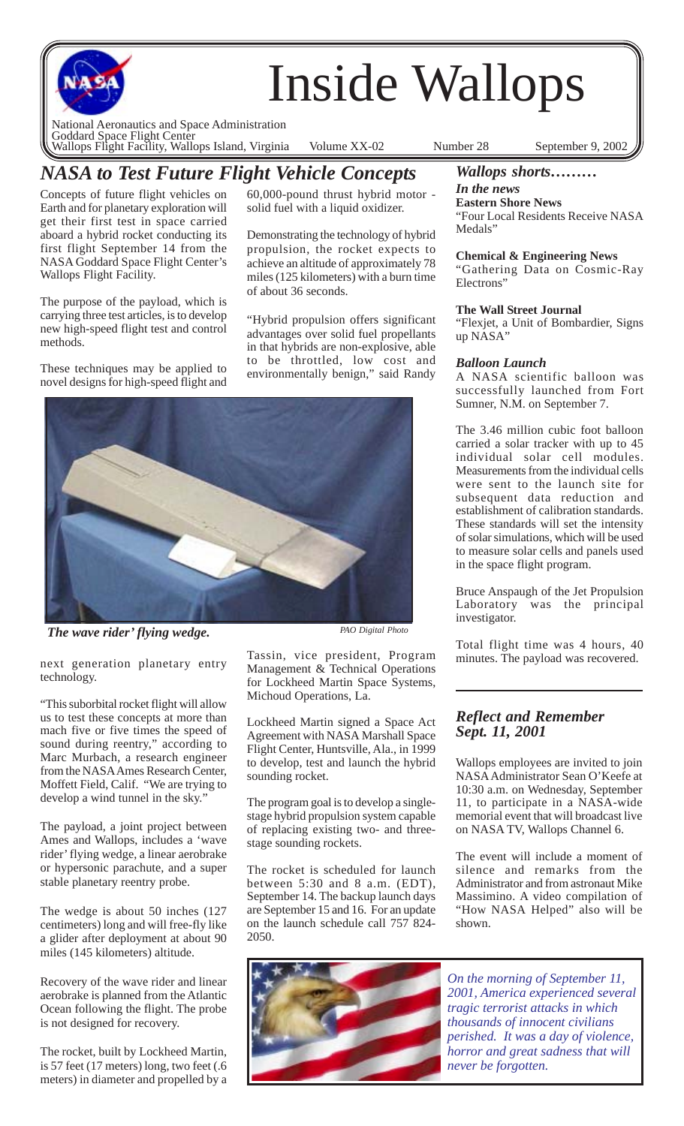

# *NASA to Test Future Flight Vehicle Concepts*

Concepts of future flight vehicles on Earth and for planetary exploration will get their first test in space carried aboard a hybrid rocket conducting its first flight September 14 from the NASA Goddard Space Flight Center's Wallops Flight Facility.

The purpose of the payload, which is carrying three test articles, is to develop new high-speed flight test and control methods.

These techniques may be applied to novel designs for high-speed flight and

60,000-pound thrust hybrid motor solid fuel with a liquid oxidizer.

Demonstrating the technology of hybrid propulsion, the rocket expects to achieve an altitude of approximately 78 miles (125 kilometers) with a burn time of about 36 seconds.

"Hybrid propulsion offers significant advantages over solid fuel propellants in that hybrids are non-explosive, able to be throttled, low cost and environmentally benign," said Randy



*The wave rider' flying wedge. PAO Digital Photo*

next generation planetary entry technology.

"This suborbital rocket flight will allow us to test these concepts at more than mach five or five times the speed of sound during reentry," according to Marc Murbach, a research engineer from the NASA Ames Research Center, Moffett Field, Calif. "We are trying to develop a wind tunnel in the sky."

The payload, a joint project between Ames and Wallops, includes a 'wave rider' flying wedge, a linear aerobrake or hypersonic parachute, and a super stable planetary reentry probe.

The wedge is about 50 inches (127 centimeters) long and will free-fly like a glider after deployment at about 90 miles (145 kilometers) altitude.

Recovery of the wave rider and linear aerobrake is planned from the Atlantic Ocean following the flight. The probe is not designed for recovery.

The rocket, built by Lockheed Martin, is 57 feet (17 meters) long, two feet (.6 meters) in diameter and propelled by a

Tassin, vice president, Program Management & Technical Operations for Lockheed Martin Space Systems, Michoud Operations, La.

Lockheed Martin signed a Space Act Agreement with NASA Marshall Space Flight Center, Huntsville, Ala., in 1999 to develop, test and launch the hybrid sounding rocket.

The program goal is to develop a singlestage hybrid propulsion system capable of replacing existing two- and threestage sounding rockets.

The rocket is scheduled for launch between 5:30 and 8 a.m. (EDT), September 14. The backup launch days are September 15 and 16. For an update on the launch schedule call 757 824- 2050.



# *Wallops shorts………*

*In the news* **Eastern Shore News**

"Four Local Residents Receive NASA Medals"

#### **Chemical & Engineering News**

"Gathering Data on Cosmic-Ray Electrons"

#### **The Wall Street Journal**

"Flexjet, a Unit of Bombardier, Signs up NASA"

### *Balloon Launch*

A NASA scientific balloon was successfully launched from Fort Sumner, N.M. on September 7.

The 3.46 million cubic foot balloon carried a solar tracker with up to 45 individual solar cell modules. Measurements from the individual cells were sent to the launch site for subsequent data reduction and establishment of calibration standards. These standards will set the intensity of solar simulations, which will be used to measure solar cells and panels used in the space flight program.

Bruce Anspaugh of the Jet Propulsion Laboratory was the principal investigator.

Total flight time was 4 hours, 40 minutes. The payload was recovered.

## *Reflect and Remember Sept. 11, 2001*

Wallops employees are invited to join NASA Administrator Sean O'Keefe at 10:30 a.m. on Wednesday, September 11, to participate in a NASA-wide memorial event that will broadcast live on NASA TV, Wallops Channel 6.

The event will include a moment of silence and remarks from the Administrator and from astronaut Mike Massimino. A video compilation of "How NASA Helped" also will be shown.

*On the morning of September 11, 2001, America experienced several tragic terrorist attacks in which thousands of innocent civilians perished. It was a day of violence, horror and great sadness that will never be forgotten.*